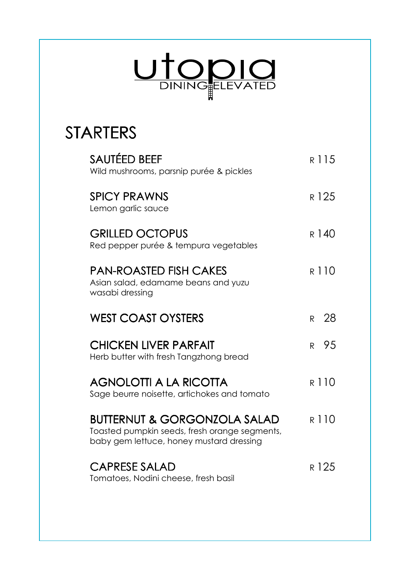

## STARTERS

| SAUTÉED BEEF<br>Wild mushrooms, parsnip purée & pickles                                                                              | R 115            |
|--------------------------------------------------------------------------------------------------------------------------------------|------------------|
| <b>SPICY PRAWNS</b><br>Lemon garlic sauce                                                                                            | R 125            |
| <b>GRILLED OCTOPUS</b><br>Red pepper purée & tempura vegetables                                                                      | R 140            |
| <b>PAN-ROASTED FISH CAKES</b><br>Asian salad, edamame beans and yuzu<br>wasabi dressing                                              | R 110            |
| <b>WEST COAST OYSTERS</b>                                                                                                            | R 28             |
| <b>CHICKEN LIVER PARFAIT</b><br>Herb butter with fresh Tangzhong bread                                                               | 95<br>R          |
| <b>AGNOLOTTI A LA RICOTTA</b><br>Sage beurre noisette, artichokes and tomato                                                         | R 110            |
| <b>BUTTERNUT &amp; GORGONZOLA SALAD</b><br>Toasted pumpkin seeds, fresh orange segments,<br>baby gem lettuce, honey mustard dressing | R 110            |
| <b>CAPRESE SALAD</b><br>Tomatoes, Nodini cheese, fresh basil                                                                         | R <sub>125</sub> |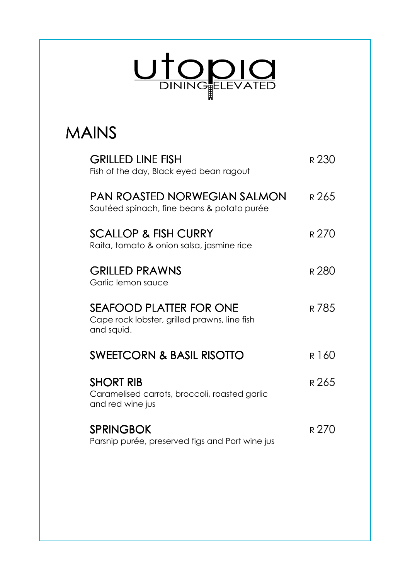

## MAINS

| <b>GRILLED LINE FISH</b><br>Fish of the day, Black eyed bean ragout                          | R 230            |
|----------------------------------------------------------------------------------------------|------------------|
| PAN ROASTED NORWEGIAN SALMON<br>Sautéed spinach, fine beans & potato purée                   | R 265            |
| <b>SCALLOP &amp; FISH CURRY</b><br>Raita, tomato & onion salsa, jasmine rice                 | R 270            |
| <b>GRILLED PRAWNS</b><br>Garlic lemon sauce                                                  | R <sub>280</sub> |
| <b>SEAFOOD PLATTER FOR ONE</b><br>Cape rock lobster, grilled prawns, line fish<br>and squid. | R 785            |
| <b>SWEETCORN &amp; BASIL RISOTTO</b>                                                         | R 160            |
| <b>SHORT RIB</b><br>Caramelised carrots, broccoli, roasted garlic<br>and red wine jus        | R 265            |
| <b>SPRINGBOK</b><br>Parsnip purée, preserved figs and Port wine jus                          | r 270            |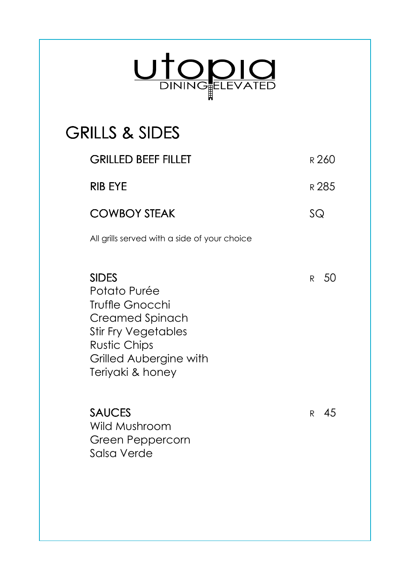

## **GRILLS & SIDES**

| <b>GRILLED BEEF FILLET</b>                                                                                                                                                   |              | R 260 |
|------------------------------------------------------------------------------------------------------------------------------------------------------------------------------|--------------|-------|
| <b>RIB EYE</b>                                                                                                                                                               |              | R 285 |
| <b>COWBOY STEAK</b>                                                                                                                                                          | SQ           |       |
| All grills served with a side of your choice                                                                                                                                 |              |       |
| <b>SIDES</b><br>Potato Purée<br>Truffle Gnocchi<br><b>Creamed Spinach</b><br><b>Stir Fry Vegetables</b><br><b>Rustic Chips</b><br>Grilled Aubergine with<br>Teriyaki & honey | R            | 50    |
| <b>SAUCES</b><br>Wild Mushroom<br>Green Peppercorn<br>Salsa Verde                                                                                                            | $\mathsf{R}$ | - 45  |